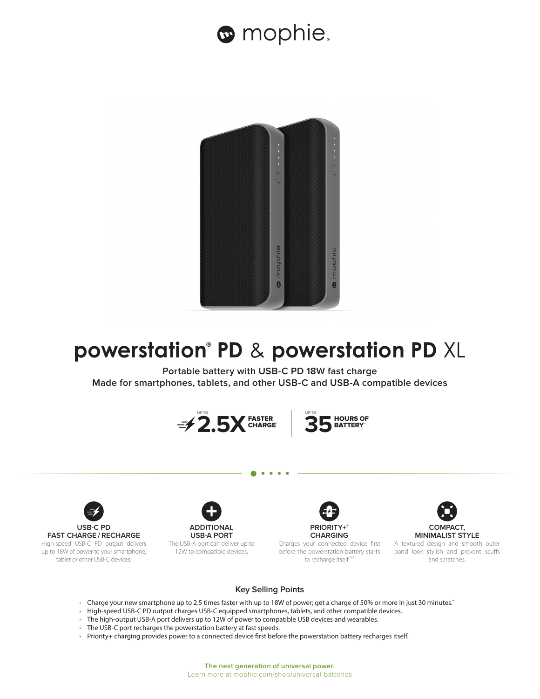



## **powerstation® PD** & **powerstation PD** XL

**Portable battery with USB-C PD 18W fast charge Made for smartphones, tablets, and other USB-C and USB-A compatible devices**











Charges your connected device first before the powerstation battery starts to recharge itself.\*\*



A textured design and smooth outer band look stylish and prevent scuffs and scratches.

## **Key Selling Points**

- Charge your new smartphone up to 2.5 times faster with up to 18W of power; get a charge of 50% or more in just 30 minutes.\*
- High-speed USB-C PD output charges USB-C equipped smartphones, tablets, and other compatible devices.
- The high-output USB-A port delivers up to 12W of power to compatible USB devices and wearables.
- The USB-C port recharges the powerstation battery at fast speeds.
- Priority+ charging provides power to a connected device first before the powerstation battery recharges itself.

#### **The next generation of universal power.** Learn more at mophie.com/shop/universal-batteries